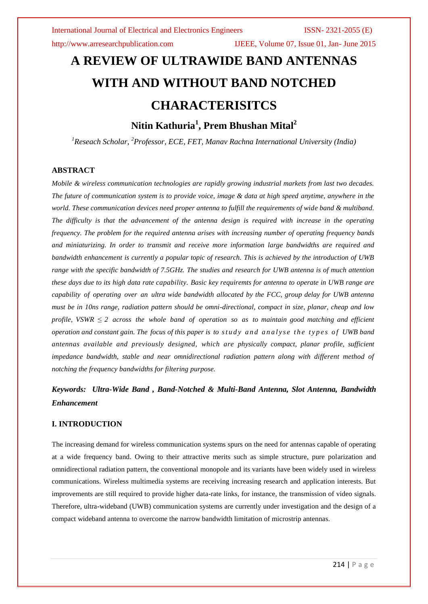http://www.arresearchpublication.com IJEEE, Volume 07, Issue 01, Jan- June 2015

# **A REVIEW OF ULTRAWIDE BAND ANTENNAS WITH AND WITHOUT BAND NOTCHED CHARACTERISITCS**

**Nitin Kathuria<sup>1</sup> , Prem Bhushan Mital<sup>2</sup>**

*<sup>1</sup>Reseach Scholar, <sup>2</sup>Professor, ECE, FET, Manav Rachna International University (India)*

# **ABSTRACT**

*Mobile & wireless communication technologies are rapidly growing industrial markets from last two decades. The future of communication system is to provide voice, image & data at high speed anytime, anywhere in the world. These communication devices need proper antenna to fulfill the requirements of wide band & multiband. The difficulty is that the advancement of the antenna design is required with increase in the operating frequency. The problem for the required antenna arises with increasing number of operating frequency bands and miniaturizing. In order to transmit and receive more information large bandwidths are required and bandwidth enhancement is currently a popular topic of research. This is achieved by the introduction of UWB range with the specific bandwidth of 7.5GHz. The studies and research for UWB antenna is of much attention these days due to its high data rate capability. Basic key requiremts for antenna to operate in UWB range are capability of operating over an ultra wide bandwidth allocated by the FCC, group delay for UWB antenna must be in 10ns range, radiation pattern should be omni-directional, compact in size, planar, cheap and low profile, VSWR*  $\leq$  *2 across* the *whole band of operation so as to maintain good matching and efficient operation and constant gain. The focus of this paper is to s t u d y and a n a l y s e t h e t y p e s o f UWB band antennas available and previously designed, which are physically compact, planar profile, sufficient impedance bandwidth, stable and near omnidirectional radiation pattern along with different method of notching the frequency bandwidths for filtering purpose.* 

# *Keywords: Ultra-Wide Band , Band-Notched & Multi-Band Antenna, Slot Antenna, Bandwidth Enhancement*

# **I. INTRODUCTION**

The increasing demand for wireless communication systems spurs on the need for antennas capable of operating at a wide frequency band. Owing to their attractive merits such as simple structure, pure polarization and omnidirectional radiation pattern, the conventional monopole and its variants have been widely used in wireless communications. Wireless multimedia systems are receiving increasing research and application interests. But improvements are still required to provide higher data-rate links, for instance, the transmission of video signals. Therefore, ultra-wideband (UWB) communication systems are currently under investigation and the design of a compact wideband antenna to overcome the narrow bandwidth limitation of microstrip antennas.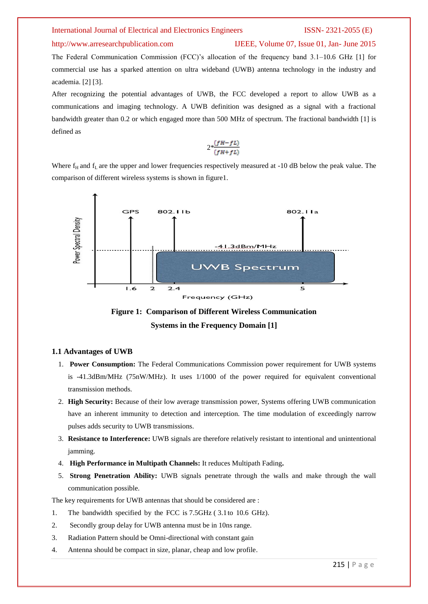# http://www.arresearchpublication.com IJEEE, Volume 07, Issue 01, Jan- June 2015

The Federal Communication Commission (FCC)'s allocation of the frequency band 3.1–10.6 GHz [1] for commercial use has a sparked attention on ultra wideband (UWB) antenna technology in the industry and academia. [2] [3].

After recognizing the potential advantages of UWB, the FCC developed a report to allow UWB as a communications and imaging technology. A UWB definition was designed as a signal with a fractional bandwidth greater than 0.2 or which engaged more than 500 MHz of spectrum. The fractional bandwidth [1] is defined as

$$
2*\frac{(fH-fL)}{(fH+fL)}
$$

Where  $f_H$  and  $f_L$  are the upper and lower frequencies respectively measured at -10 dB below the peak value. The comparison of different wireless systems is shown in figure1.





### **1.1 Advantages of UWB**

- 1. **Power Consumption:** The Federal Communications Commission power requirement for UWB systems is -41.3dBm/MHz (75nW/MHz). It uses 1/1000 of the power required for equivalent conventional transmission methods.
- 2. **High Security:** Because of their low average transmission power, Systems offering UWB communication have an inherent immunity to detection and interception. The time modulation of exceedingly narrow pulses adds security to UWB transmissions.
- 3. **Resistance to Interference:** UWB signals are therefore relatively resistant to intentional and unintentional jamming.
- 4. **High Performance in Multipath Channels:** It reduces Multipath Fading**.**
- 5. **Strong Penetration Ability:** UWB signals penetrate through the walls and make through the wall communication possible.

The key requirements for UWB antennas that should be considered are :

- 1. The bandwidth specified by the FCC is 7.5GHz ( 3.1to 10.6 GHz).
- 2. Secondly group delay for UWB antenna must be in 10ns range.
- 3. Radiation Pattern should be Omni-directional with constant gain
- 4. Antenna should be compact in size, planar, cheap and low profile.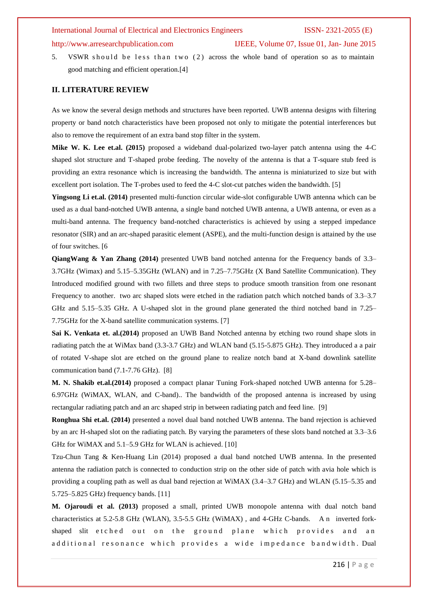# http://www.arresearchpublication.com IJEEE, Volume 07, Issue 01, Jan- June 2015

5. VSWR should be less than two (2) across the whole band of operation so as to maintain good matching and efficient operation.[4]

# **II. LITERATURE REVIEW**

As we know the several design methods and structures have been reported. UWB antenna designs with filtering property or band notch characteristics have been proposed not only to mitigate the potential interferences but also to remove the requirement of an extra band stop filter in the system.

**Mike W. K. Lee et.al. (2015)** proposed a wideband dual-polarized two-layer patch antenna using the 4-C shaped slot structure and T-shaped probe feeding. The novelty of the antenna is that a T-square stub feed is providing an extra resonance which is increasing the bandwidth. The antenna is miniaturized to size but with excellent port isolation. The T-probes used to feed the 4-C slot-cut patches widen the bandwidth. [5]

**Yingsong Li et.al. (2014)** presented multi-function circular wide-slot configurable UWB antenna which can be used as a dual band-notched UWB antenna, a single band notched UWB antenna, a UWB antenna, or even as a multi-band antenna. The frequency band-notched characteristics is achieved by using a stepped impedance resonator (SIR) and an arc-shaped parasitic element (ASPE), and the multi-function design is attained by the use of four switches. [6

**QiangWang & Yan Zhang (2014)** presented UWB band notched antenna for the Frequency bands of 3.3– 3.7GHz (Wimax) and 5.15–5.35GHz (WLAN) and in 7.25–7.75GHz (X Band Satellite Communication). They Introduced modified ground with two fillets and three steps to produce smooth transition from one resonant Frequency to another. two arc shaped slots were etched in the radiation patch which notched bands of 3.3–3.7 GHz and 5.15–5.35 GHz. A U-shaped slot in the ground plane generated the third notched band in 7.25– 7.75GHz for the X-band satellite communication systems. [7]

**Sai K. Venkata et. al.(2014)** proposed an UWB Band Notched antenna by etching two round shape slots in radiating patch the at WiMax band (3.3-3.7 GHz) and WLAN band (5.15-5.875 GHz). They introduced a a pair of rotated V-shape slot are etched on the ground plane to realize notch band at X-band downlink satellite communication band (7.1-7.76 GHz). [8]

**M. N. Shakib et.al.(2014)** proposed a compact planar Tuning Fork-shaped notched UWB antenna for 5.28– 6.97GHz (WiMAX, WLAN, and C-band).. The bandwidth of the proposed antenna is increased by using rectangular radiating patch and an arc shaped strip in between radiating patch and feed line. [9]

**Ronghua Shi et.al. (2014)** presented a novel dual band notched UWB antenna. The band rejection is achieved by an arc H-shaped slot on the radiating patch. By varying the parameters of these slots band notched at 3.3–3.6 GHz for WiMAX and 5.1–5.9 GHz for WLAN is achieved. [10]

Tzu-Chun Tang & Ken-Huang Lin (2014) proposed a dual band notched UWB antenna. In the presented antenna the radiation patch is connected to conduction strip on the other side of patch with avia hole which is providing a coupling path as well as dual band rejection at WiMAX (3.4–3.7 GHz) and WLAN (5.15–5.35 and 5.725–5.825 GHz) frequency bands. [11]

**M. Ojaroudi et al. (2013)** proposed a small, printed UWB monopole antenna with dual notch band characteristics at 5.2-5.8 GHz (WLAN), 3.5-5.5 GHz (WiMAX) , and 4-GHz C-bands. A n inverted forkshaped slit e t c h ed out on the ground plane which provides and an additional resonance which provides a wide impedance bandwidth. Dual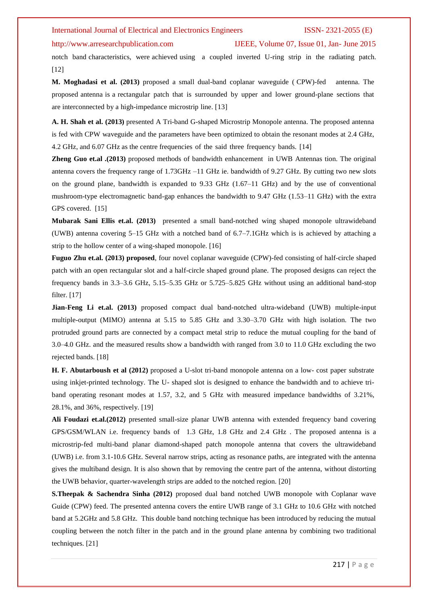# http://www.arresearchpublication.com IJEEE, Volume 07, Issue 01, Jan- June 2015

notch band characteristics, were achieved using a coupled inverted U-ring strip in the radiating patch. [12]

**M. Moghadasi et al. (2013)** proposed a small dual-band coplanar waveguide ( CPW)-fed antenna. The proposed antenna is a rectangular patch that is surrounded by upper and lower ground-plane sections that are interconnected by a high-impedance microstrip line. [13]

**A. H. Shah et al. (2013)** presented A Tri-band G-shaped Microstrip Monopole antenna. The proposed antenna is fed with CPW waveguide and the parameters have been optimized to obtain the resonant modes at 2.4 GHz, 4.2 GHz, and 6.07 GHz as the centre frequencies of the said three frequency bands. [14]

**Zheng Guo et.al .(2013)** proposed methods of bandwidth enhancement in UWB Antennas tion. The original antenna covers the frequency range of 1.73GHz –11 GHz ie. bandwidth of 9.27 GHz. By cutting two new slots on the ground plane, bandwidth is expanded to 9.33 GHz (1.67–11 GHz) and by the use of conventional mushroom-type electromagnetic band-gap enhances the bandwidth to 9.47 GHz (1.53–11 GHz) with the extra GPS covered. [15]

**Mubarak Sani Ellis et.al. (2013)** presented a small band-notched wing shaped monopole ultrawideband (UWB) antenna covering 5–15 GHz with a notched band of 6.7–7.1GHz which is is achieved by attaching a strip to the hollow center of a wing-shaped monopole. [16]

**Fuguo Zhu et.al. (2013) proposed**, four novel coplanar waveguide (CPW)-fed consisting of half-circle shaped patch with an open rectangular slot and a half-circle shaped ground plane. The proposed designs can reject the frequency bands in 3.3–3.6 GHz, 5.15–5.35 GHz or 5.725–5.825 GHz without using an additional band-stop filter. [17]

**Jian-Feng Li et.al. (2013)** proposed compact dual band-notched ultra-wideband (UWB) multiple-input multiple-output (MIMO) antenna at 5.15 to 5.85 GHz and 3.30–3.70 GHz with high isolation. The two protruded ground parts are connected by a compact metal strip to reduce the mutual coupling for the band of 3.0–4.0 GHz. and the measured results show a bandwidth with ranged from 3.0 to 11.0 GHz excluding the two rejected bands. [18]

**H. F. Abutarboush et al (2012)** proposed a U-slot tri-band monopole antenna on a low- cost paper substrate using inkjet-printed technology. The U- shaped slot is designed to enhance the bandwidth and to achieve triband operating resonant modes at 1.57, 3.2, and 5 GHz with measured impedance bandwidths of 3.21%, 28.1%, and 36%, respectively. [19]

**Ali Foudazi et.al.(2012)** presented small-size planar UWB antenna with extended frequency band covering GPS/GSM/WLAN i.e. frequency bands of 1.3 GHz, 1.8 GHz and 2.4 GHz . The proposed antenna is a microstrip-fed multi-band planar diamond-shaped patch monopole antenna that covers the ultrawideband (UWB) i.e. from 3.1-10.6 GHz. Several narrow strips, acting as resonance paths, are integrated with the antenna gives the multiband design. It is also shown that by removing the centre part of the antenna, without distorting the UWB behavior, quarter-wavelength strips are added to the notched region. [20]

**S.Theepak & Sachendra Sinha (2012)** proposed dual band notched UWB monopole with Coplanar wave Guide (CPW) feed. The presented antenna covers the entire UWB range of 3.1 GHz to 10.6 GHz with notched band at 5.2GHz and 5.8 GHz. This double band notching technique has been introduced by reducing the mutual coupling between the notch filter in the patch and in the ground plane antenna by combining two traditional techniques. [21]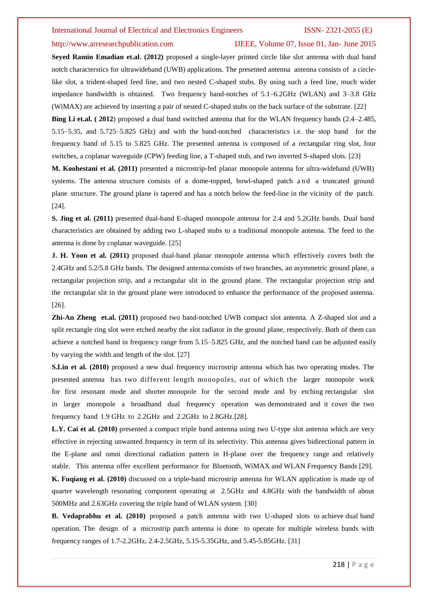### http://www.arresearchpublication.com IJEEE, Volume 07, Issue 01, Jan- June 2015

**Seyed Ramin Emadian et.al. (2012)** proposed a single-layer printed circle like slot antenna with dual band notch characterstics for ultrawideband (UWB) applications. The presented antenna antenna consists of a circlelike slot, a trident-shaped feed line, and two nested C-shaped stubs. By using such a feed line, much wider impedance bandwidth is obtained. Two frequency band-notches of 5.1–6.2GHz (WLAN) and 3–3.8 GHz (WiMAX) are achieved by inserting a pair of nested C-shaped stubs on the back surface of the substrate. [22] **Bing Li et.al. ( 2012**) proposed a dual band switched antenna that for the WLAN frequency bands (2.4–2.485, 5.15–5.35, and 5.725–5.825 GHz) and with the band-notched characteristics i.e. the stop band for the frequency band of 5.15 to 5.825 GHz. The presented antenna is composed of a rectangular ring slot, four

switches, a coplanar waveguide (CPW) feeding line, a T-shaped stub, and two inverted S-shaped slots. [23]

**M. Koohestani et al. (2011)** presented a microstrip-fed planar monopole antenna for ultra-wideband (UWB) systems. The antenna structure consists of a dome-topped, bowl-shaped patch and a truncated ground plane structure. The ground plane is tapered and has a notch below the feed-line in the vicinity of the patch. [24].

**S. Jing et al. (2011)** presented dual-band E-shaped monopole antenna for 2.4 and 5.2GHz bands. Dual band characteristics are obtained by adding two L-shaped stubs to a traditional monopole antenna. The feed to the antenna is done by coplanar waveguide. [25]

**J. H. Yoon et al. (2011)** proposed dual-band planar monopole antenna which effectively covers both the 2.4GHz and 5.2/5.8 GHz bands. The designed antenna consists of two branches, an asymmetric ground plane, a rectangular projection strip, and a rectangular slit in the ground plane. The rectangular projection strip and the rectangular slit in the ground plane were introduced to enhance the performance of the proposed antenna. [26].

**Zhi-An Zheng et.al. (2011)** proposed two band-notched UWB compact slot antenna. A Z-shaped slot and a split rectangle ring slot were etched nearby the slot radiator in the ground plane, respectively. Both of them can achieve a notched band in frequency range from 5.15–5.825 GHz, and the notched band can be adjusted easily by varying the width and length of the slot. [27]

**S.Lin et al. (2010)** proposed a new dual frequency microstrip antenna which has two operating modes. The presented antenna has two different length monopoles, out of which the larger monopole work for first resonant mode and shorter monopole for the second mode and by etching rectangular slot in larger monopole a broadband dual frequency operation was demonstrated and it cover the two frequency band 1.9 GHz to 2.2GHz and 2.2GHz to 2.8GHz.[28].

**L.Y. Cai et al. (2010)** presented a compact triple band antenna using two U-type slot antenna which are very effective in rejecting unwanted frequency in term of its selectivity. This antenna gives bidirectional pattern in the E-plane and omni directional radiation pattern in H-plane over the frequency range and relatively stable. This antenna offer excellent performance for Bluetooth, WiMAX and WLAN Frequency Bands [29].

**K. Fuqiang et al. (2010)** discussed on a triple-band microstrip antenna for WLAN application is made up of quarter wavelength resonating component operating at 2.5GHz and 4.8GHz with the bandwidth of about 500MHz and 2.63GHz covering the triple band of WLAN system. [30]

**B. Vedaprabhu et al. (2010)** proposed a patch antenna with two U-shaped slots to achieve dual band operation. The design of a microstrip patch antenna is done to operate for multiple wireless bands with frequency ranges of 1.7-2.2GHz, 2.4-2.5GHz, 5.15-5.35GHz, and 5.45-5.85GHz. [31]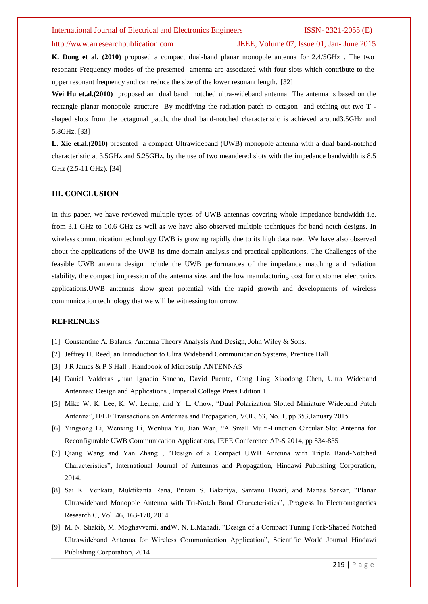## http://www.arresearchpublication.com IJEEE, Volume 07, Issue 01, Jan- June 2015

**K. Dong et al. (2010)** proposed a compact dual-band planar monopole antenna for 2.4/5GHz . The two resonant Frequency modes of the presented antenna are associated with four slots which contribute to the upper resonant frequency and can reduce the size of the lower resonant length. [32]

**Wei Hu et.al.(2010)** proposed an dual band notched ultra-wideband antenna The antenna is based on the rectangle planar monopole structure By modifying the radiation patch to octagon and etching out two T shaped slots from the octagonal patch, the dual band-notched characteristic is achieved around3.5GHz and 5.8GHz. [33]

**L. Xie et.al.(2010)** presented a compact Ultrawideband (UWB) monopole antenna with a dual band-notched characteristic at 3.5GHz and 5.25GHz. by the use of two meandered slots with the impedance bandwidth is 8.5 GHz (2.5-11 GHz). [34]

# **III. CONCLUSION**

In this paper, we have reviewed multiple types of UWB antennas covering whole impedance bandwidth i.e. from 3.1 GHz to 10.6 GHz as well as we have also observed multiple techniques for band notch designs. In wireless communication technology UWB is growing rapidly due to its high data rate. We have also observed about the applications of the UWB its time domain analysis and practical applications. The Challenges of the feasible UWB antenna design include the UWB performances of the impedance matching and radiation stability, the compact impression of the antenna size, and the low manufacturing cost for customer electronics applications.UWB antennas show great potential with the rapid growth and developments of wireless communication technology that we will be witnessing tomorrow.

### **REFRENCES**

- [1] Constantine A. Balanis, Antenna Theory Analysis And Design, John Wiley & Sons.
- [2] Jeffrey H. Reed, an Introduction to Ultra Wideband Communication Systems, Prentice Hall.
- [3] J R James & P S Hall , Handbook of Microstrip ANTENNAS
- [4] Daniel Valderas ,Juan Ignacìo Sancho, David Puente, Cong Ling Xiaodong Chen, Ultra Wideband Antennas: Design and Applications , Imperial College Press.Edition 1.
- [5] Mike W. K. Lee, K. W. Leung, and Y. L. Chow, "Dual Polarization Slotted Miniature Wideband Patch Antenna", IEEE Transactions on Antennas and Propagation, VOL. 63, No. 1, pp 353,January 2015
- [6] Yingsong Li, Wenxing Li, Wenhua Yu, Jian Wan, "A Small Multi-Function Circular Slot Antenna for Reconfigurable UWB Communication Applications, IEEE Conference AP-S 2014, pp 834-835
- [7] Qiang Wang and Yan Zhang , "Design of a Compact UWB Antenna with Triple Band-Notched Characteristics", International Journal of Antennas and Propagation, Hindawi Publishing Corporation, 2014.
- [8] Sai K. Venkata, Muktikanta Rana, Pritam S. Bakariya, Santanu Dwari, and Manas Sarkar, "Planar Ultrawideband Monopole Antenna with Tri-Notch Band Characteristics", ,Progress In Electromagnetics Research C, Vol. 46, 163-170, 2014
- [9] M. N. Shakib, M. Moghavvemi, andW. N. L.Mahadi, "Design of a Compact Tuning Fork-Shaped Notched Ultrawideband Antenna for Wireless Communication Application", Scientific World Journal Hindawi Publishing Corporation, 2014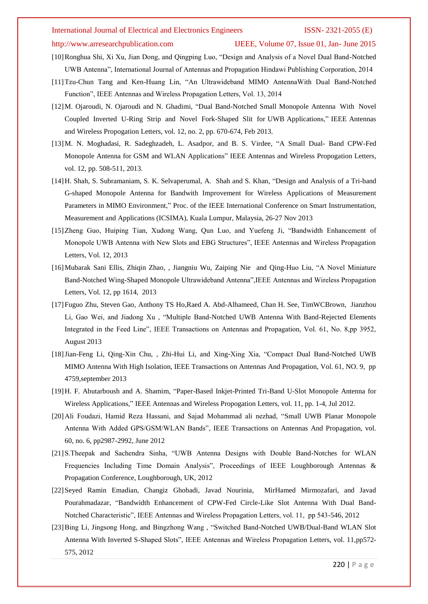# http://www.arresearchpublication.com IJEEE, Volume 07, Issue 01, Jan- June 2015

- [10]Ronghua Shi, Xi Xu, Jian Dong, and Qingping Luo, "Design and Analysis of a Novel Dual Band-Notched UWB Antenna", International Journal of Antennas and Propagation Hindawi Publishing Corporation, 2014
- [11]Tzu-Chun Tang and Ken-Huang Lin, "An Ultrawideband MIMO AntennaWith Dual Band-Notched Function", IEEE Antennas and Wireless Propagation Letters, Vol. 13, 2014
- [12]M. Ojaroudi, N. Ojaroudi and N. Ghadimi, "Dual Band-Notched Small Monopole Antenna With Novel Coupled Inverted U-Ring Strip and Novel Fork-Shaped Slit for UWB Applications," IEEE Antennas and Wireless Propogation Letters, vol. 12, no. 2, pp. 670-674, Feb 2013.
- [13]M. N. Moghadasi, R. Sadeghzadeh, L. Asadpor, and B. S. Virdee, "A Small Dual- Band CPW-Fed Monopole Antenna for GSM and WLAN Applications" IEEE Antennas and Wireless Propogation Letters, vol. 12, pp. 508-511, 2013.
- [14]H. Shah, S. Subramaniam, S. K. Selvaperumal, A. Shah and S. Khan, "Design and Analysis of a Tri-band G-shaped Monopole Antenna for Bandwith Improvement for Wireless Applications of Measurement Parameters in MIMO Environment," Proc. of the IEEE International Conference on Smart Instrumentation, Measurement and Applications (ICSIMA), Kuala Lumpur, Malaysia, 26-27 Nov 2013
- [15]Zheng Guo, Huiping Tian, Xudong Wang, Qun Luo, and Yuefeng Ji, "Bandwidth Enhancement of Monopole UWB Antenna with New Slots and EBG Structures", IEEE Antennas and Wireless Propagation Letters, Vol. 12, 2013
- [16]Mubarak Sani Ellis, Zhiqin Zhao, , Jiangniu Wu, Zaiping Nie and Qing-Huo Liu, "A Novel Miniature Band-Notched Wing-Shaped Monopole Ultrawideband Antenna",IEEE Antennas and Wireless Propagation Letters, Vol. 12, pp 1614, 2013
- [17]Fuguo Zhu, Steven Gao, Anthony TS Ho,Raed A. Abd-Alhameed, Chan H. See, TimWCBrown, Jianzhou Li, Gao Wei, and Jiadong Xu , "Multiple Band-Notched UWB Antenna With Band-Rejected Elements Integrated in the Feed Line", IEEE Transactions on Antennas and Propagation, Vol. 61, No. 8,pp 3952, August 2013
- [18]Jian-Feng Li, Qing-Xin Chu, , Zhi-Hui Li, and Xing-Xing Xia, "Compact Dual Band-Notched UWB MIMO Antenna With High Isolation, IEEE Transactions on Antennas And Propagation, Vol. 61, NO. 9, pp 4759,september 2013
- [19]H. F. Abutarboush and A. Shamim, "Paper-Based Inkjet-Printed Tri-Band U-Slot Monopole Antenna for Wireless Applications," IEEE Antennas and Wireless Propogation Letters, vol. 11, pp. 1-4, Jul 2012.
- [20]Ali Foudazi, Hamid Reza Hassani, and Sajad Mohammad ali nezhad, "Small UWB Planar Monopole Antenna With Added GPS/GSM/WLAN Bands", IEEE Transactions on Antennas And Propagation, vol. 60, no. 6, pp2987-2992, June 2012
- [21]S.Theepak and Sachendra Sinha, "UWB Antenna Designs with Double Band-Notches for WLAN Frequencies Including Time Domain Analysis", Proceedings of IEEE Loughborough Antennas & Propagation Conference, Loughborough, UK, 2012
- [22]Seyed Ramin Emadian, Changiz Ghobadi, Javad Nourinia, MirHamed Mirmozafari, and Javad Pourahmadazar, "Bandwidth Enhancement of CPW-Fed Circle-Like Slot Antenna With Dual Band-Notched Characteristic", IEEE Antennas and Wireless Propagation Letters, vol. 11, pp 543-546, 2012
- [23]Bing Li, Jingsong Hong, and Bingzhong Wang , "Switched Band-Notched UWB/Dual-Band WLAN Slot Antenna With Inverted S-Shaped Slots", IEEE Antennas and Wireless Propagation Letters, vol. 11,pp572- 575, 2012